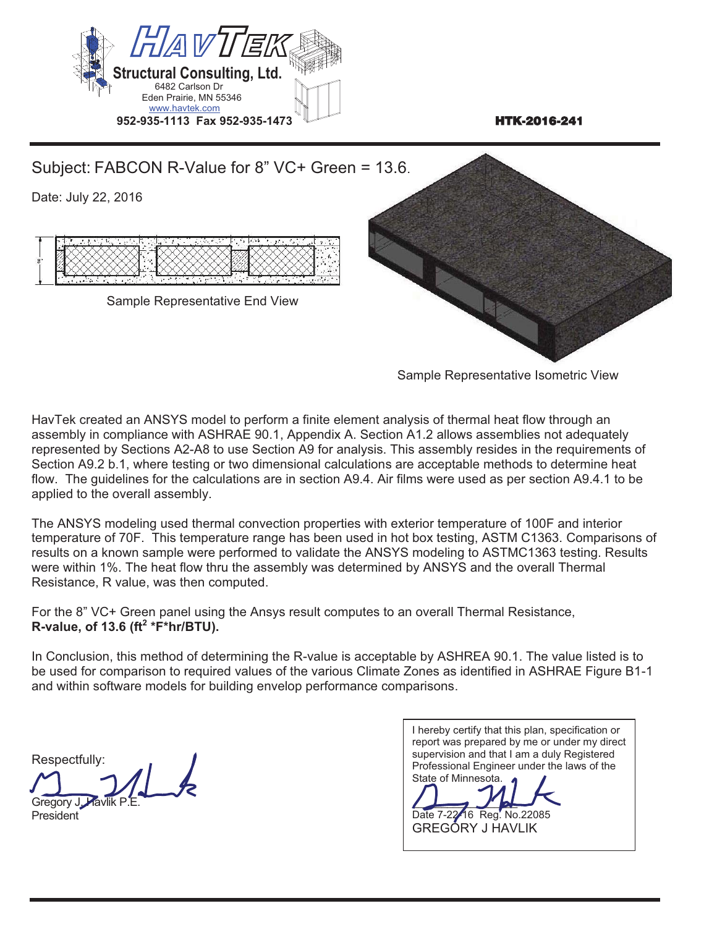

Sample Representative Isometric View

HavTek created an ANSYS model to perform a finite element analysis of thermal heat flow through an assembly in compliance with ASHRAE 90.1, Appendix A. Section A1.2 allows assemblies not adequately represented by Sections A2-A8 to use Section A9 for analysis. This assembly resides in the requirements of Section A9.2 b.1, where testing or two dimensional calculations are acceptable methods to determine heat flow. The guidelines for the calculations are in section A9.4. Air films were used as per section A9.4.1 to be applied to the overall assembly.

The ANSYS modeling used thermal convection properties with exterior temperature of 100F and interior temperature of 70F. This temperature range has been used in hot box testing, ASTM C1363. Comparisons of results on a known sample were performed to validate the ANSYS modeling to ASTMC1363 testing. Results were within 1%. The heat flow thru the assembly was determined by ANSYS and the overall Thermal Resistance, R value, was then computed.

For the 8" VC+ Green panel using the Ansys result computes to an overall Thermal Resistance, **R-value, of 13.6 (ft2 \*F\*hr/BTU).** 

Respectfully:

Gregory J. President

I hereby certify that this plan, specification or report was prepared by me or under my direct supervision and that I am a duly Registered Professional Engineer under the laws of the State of Minnesota.  $\overline{\phantom{a}}$ Date 7-22 16 Reg. No.22085 GREGORY J HAVLIK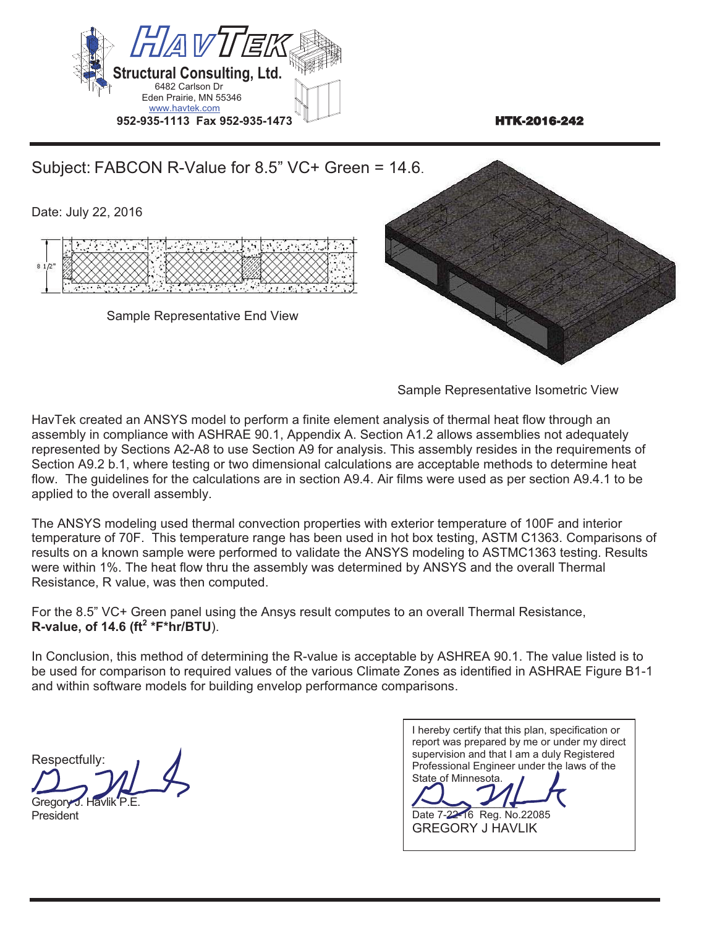

HavTek created an ANSYS model to perform a finite element analysis of thermal heat flow through an assembly in compliance with ASHRAE 90.1, Appendix A. Section A1.2 allows assemblies not adequately represented by Sections A2-A8 to use Section A9 for analysis. This assembly resides in the requirements of Section A9.2 b.1, where testing or two dimensional calculations are acceptable methods to determine heat flow. The guidelines for the calculations are in section A9.4. Air films were used as per section A9.4.1 to be applied to the overall assembly.

The ANSYS modeling used thermal convection properties with exterior temperature of 100F and interior temperature of 70F. This temperature range has been used in hot box testing, ASTM C1363. Comparisons of results on a known sample were performed to validate the ANSYS modeling to ASTMC1363 testing. Results were within 1%. The heat flow thru the assembly was determined by ANSYS and the overall Thermal Resistance, R value, was then computed.

For the 8.5" VC+ Green panel using the Ansys result computes to an overall Thermal Resistance, **R-value, of 14.6 (ft2 \*F\*hr/BTU**).

Respectfully: J

Gregory<sup>2</sup> President

I hereby certify that this plan, specification or report was prepared by me or under my direct supervision and that I am a duly Registered Professional Engineer under the laws of the State of Minnesota.  $\sim$ Date 7-22-16 Reg. No.22085 GREGORY J HAVLIK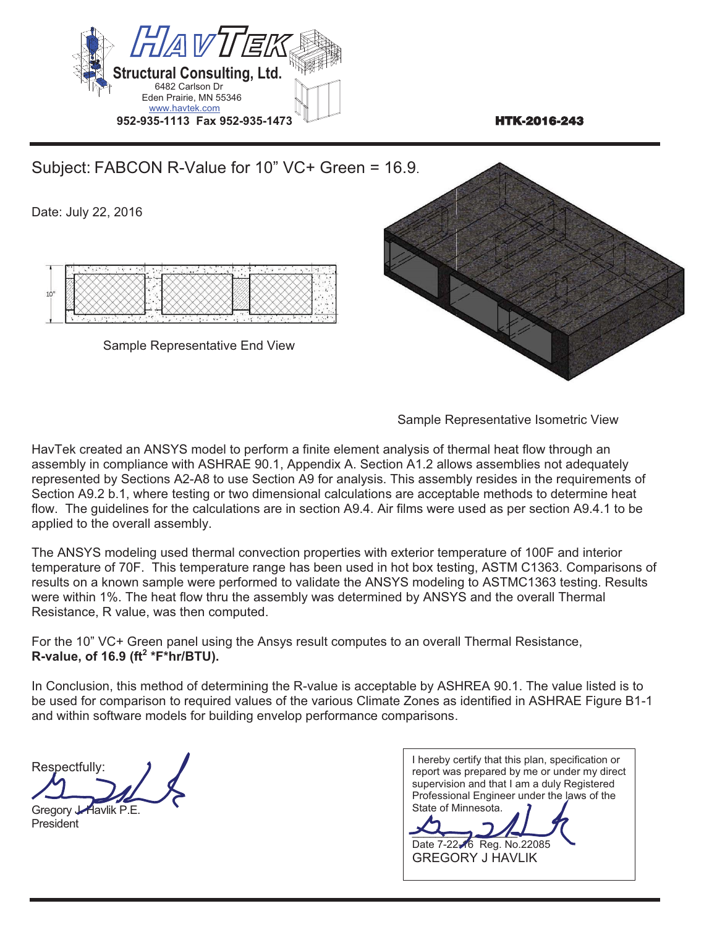

Subject: FABCON R-Value for 10" VC+ Green = 16.9. Date: July 22, 2016 Sample Representative End View

Sample Representative Isometric View

HavTek created an ANSYS model to perform a finite element analysis of thermal heat flow through an assembly in compliance with ASHRAE 90.1, Appendix A. Section A1.2 allows assemblies not adequately represented by Sections A2-A8 to use Section A9 for analysis. This assembly resides in the requirements of Section A9.2 b.1, where testing or two dimensional calculations are acceptable methods to determine heat flow. The guidelines for the calculations are in section A9.4. Air films were used as per section A9.4.1 to be applied to the overall assembly.

The ANSYS modeling used thermal convection properties with exterior temperature of 100F and interior temperature of 70F. This temperature range has been used in hot box testing, ASTM C1363. Comparisons of results on a known sample were performed to validate the ANSYS modeling to ASTMC1363 testing. Results were within 1%. The heat flow thru the assembly was determined by ANSYS and the overall Thermal Resistance, R value, was then computed.

For the 10" VC+ Green panel using the Ansys result computes to an overall Thermal Resistance, **R-value, of 16.9 (ft2 \*F\*hr/BTU).** 

Respectfully:  $\overline{a}$ 

Gregory *Havlik P.E.* **President** 

| I hereby certify that this plan, specification or |
|---------------------------------------------------|
| report was prepared by me or under my direct      |
| supervision and that I am a duly Registered       |
| Professional Engineer under the laws of the       |
| State of Minnesota.                               |
|                                                   |
| Date 7-22-6 Reg. No.22085                         |
| <b>GREGORY J HAVLIK</b>                           |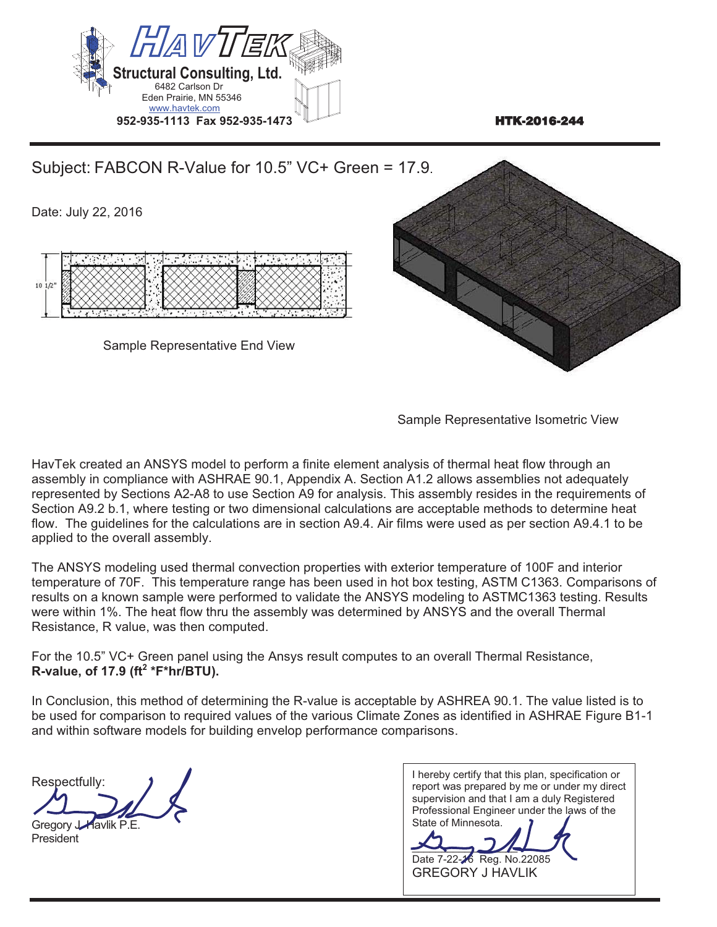

HavTek created an ANSYS model to perform a finite element analysis of thermal heat flow through an assembly in compliance with ASHRAE 90.1, Appendix A. Section A1.2 allows assemblies not adequately represented by Sections A2-A8 to use Section A9 for analysis. This assembly resides in the requirements of Section A9.2 b.1, where testing or two dimensional calculations are acceptable methods to determine heat flow. The guidelines for the calculations are in section A9.4. Air films were used as per section A9.4.1 to be applied to the overall assembly.

The ANSYS modeling used thermal convection properties with exterior temperature of 100F and interior temperature of 70F. This temperature range has been used in hot box testing, ASTM C1363. Comparisons of results on a known sample were performed to validate the ANSYS modeling to ASTMC1363 testing. Results were within 1%. The heat flow thru the assembly was determined by ANSYS and the overall Thermal Resistance, R value, was then computed.

For the 10.5" VC+ Green panel using the Ansys result computes to an overall Thermal Resistance, **R-value, of 17.9 (ft2 \*F\*hr/BTU).** 

Respectfully:

Gregory J. Havlik P. F. President

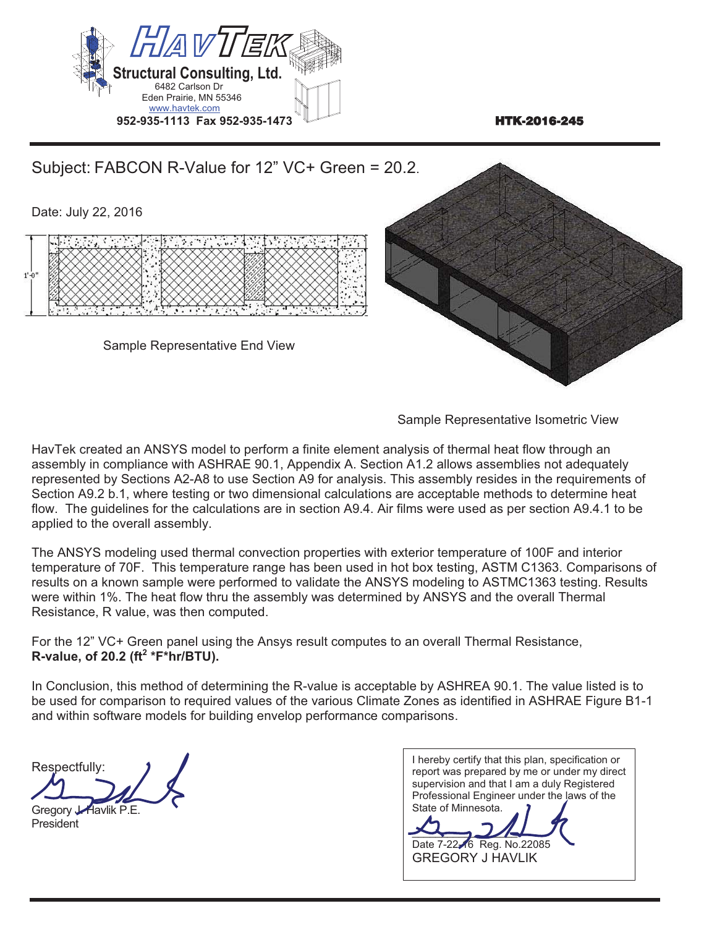

HavTek created an ANSYS model to perform a finite element analysis of thermal heat flow through an assembly in compliance with ASHRAE 90.1, Appendix A. Section A1.2 allows assemblies not adequately represented by Sections A2-A8 to use Section A9 for analysis. This assembly resides in the requirements of Section A9.2 b.1, where testing or two dimensional calculations are acceptable methods to determine heat flow. The guidelines for the calculations are in section A9.4. Air films were used as per section A9.4.1 to be applied to the overall assembly.

The ANSYS modeling used thermal convection properties with exterior temperature of 100F and interior temperature of 70F. This temperature range has been used in hot box testing, ASTM C1363. Comparisons of results on a known sample were performed to validate the ANSYS modeling to ASTMC1363 testing. Results were within 1%. The heat flow thru the assembly was determined by ANSYS and the overall Thermal Resistance, R value, was then computed.

For the 12" VC+ Green panel using the Ansys result computes to an overall Thermal Resistance, **R-value, of 20.2 (ft2 \*F\*hr/BTU).** 

Respectfully:  $\overline{a}$ Gregory Havlik P.E.

**President** 

| I hereby certify that this plan, specification or |
|---------------------------------------------------|
| report was prepared by me or under my direct      |
| supervision and that I am a duly Registered       |
| Professional Engineer under the laws of the       |
| State of Minnesota.                               |
|                                                   |
| Date 7-22-6 Reg. No.22085                         |
|                                                   |
| <b>GREGORY J HAVLIK</b>                           |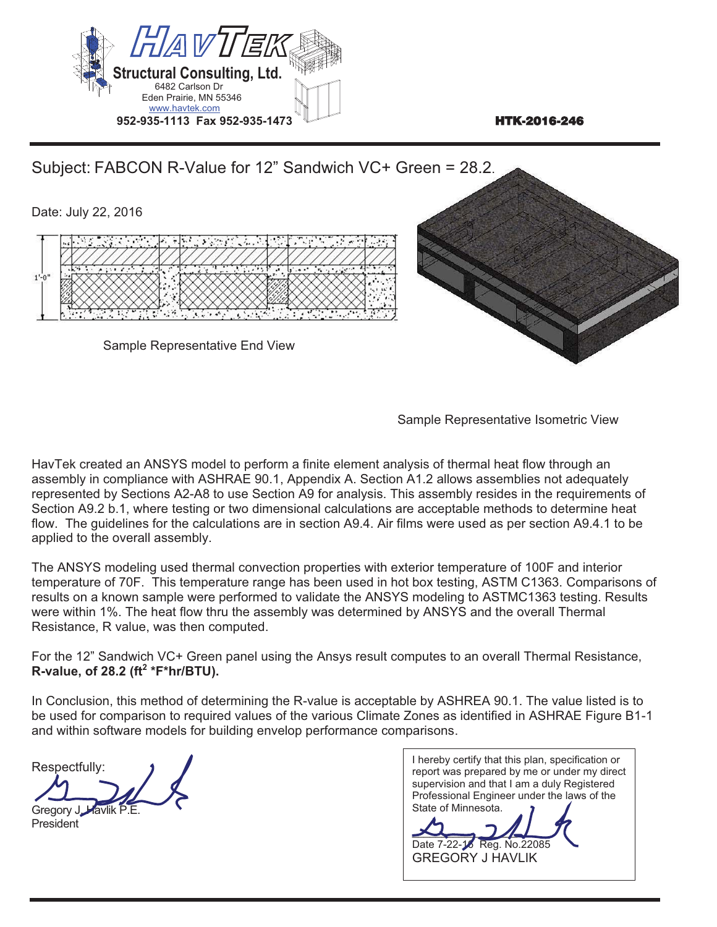



HavTek created an ANSYS model to perform a finite element analysis of thermal heat flow through an assembly in compliance with ASHRAE 90.1, Appendix A. Section A1.2 allows assemblies not adequately represented by Sections A2-A8 to use Section A9 for analysis. This assembly resides in the requirements of Section A9.2 b.1, where testing or two dimensional calculations are acceptable methods to determine heat flow. The guidelines for the calculations are in section A9.4. Air films were used as per section A9.4.1 to be applied to the overall assembly.

The ANSYS modeling used thermal convection properties with exterior temperature of 100F and interior temperature of 70F. This temperature range has been used in hot box testing, ASTM C1363. Comparisons of results on a known sample were performed to validate the ANSYS modeling to ASTMC1363 testing. Results were within 1%. The heat flow thru the assembly was determined by ANSYS and the overall Thermal Resistance, R value, was then computed.

For the 12" Sandwich VC+ Green panel using the Ansys result computes to an overall Thermal Resistance, **R-value, of 28.2 (ft2 \*F\*hr/BTU).**

In Conclusion, this method of determining the R-value is acceptable by ASHREA 90.1. The value listed is to be used for comparison to required values of the various Climate Zones as identified in ASHRAE Figure B1-1 and within software models for building envelop performance comparisons.

Respectfully: Gregory J. Havlik

**President** 

I hereby certify that this plan, specification or report was prepared by me or under my direct supervision and that I am a duly Registered Professional Engineer under the laws of the State of Minnesota.

 $\frac{1}{\sqrt{2}}$ Date 7-22-16 Reg. No.22085 GREGORY J HAVLIK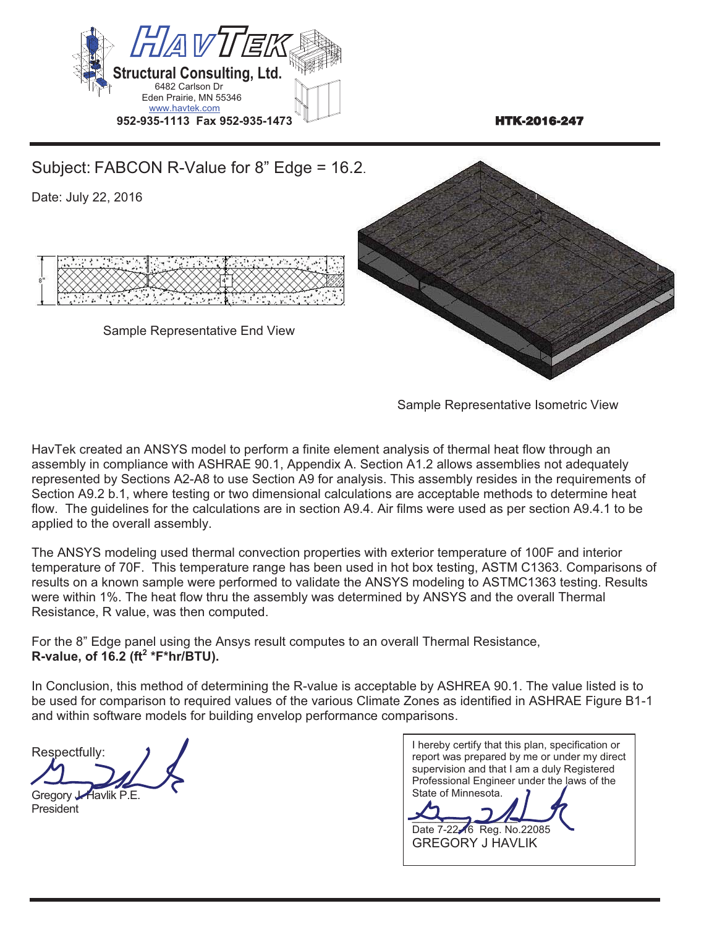



HavTek created an ANSYS model to perform a finite element analysis of thermal heat flow through an assembly in compliance with ASHRAE 90.1, Appendix A. Section A1.2 allows assemblies not adequately represented by Sections A2-A8 to use Section A9 for analysis. This assembly resides in the requirements of Section A9.2 b.1, where testing or two dimensional calculations are acceptable methods to determine heat flow. The guidelines for the calculations are in section A9.4. Air films were used as per section A9.4.1 to be applied to the overall assembly.

The ANSYS modeling used thermal convection properties with exterior temperature of 100F and interior temperature of 70F. This temperature range has been used in hot box testing, ASTM C1363. Comparisons of results on a known sample were performed to validate the ANSYS modeling to ASTMC1363 testing. Results were within 1%. The heat flow thru the assembly was determined by ANSYS and the overall Thermal Resistance, R value, was then computed.

For the 8" Edge panel using the Ansys result computes to an overall Thermal Resistance,  $R$ -value, of 16.2 (ft<sup>2</sup> \*F\*hr/ $\overline{B}$ TU).

Respectfully:

Gregory *Havlik P.E.* **President** 

I hereby certify that this plan, specification or report was prepared by me or under my direct supervision and that I am a duly Registered Professional Engineer under the laws of the State of Minnesota.  $\sim$ Date 7-22-16 Reg. No.22085 GREGORY J HAVLIK